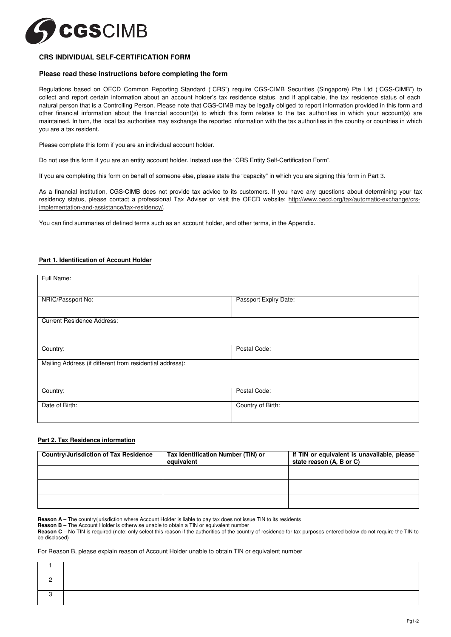

# **CRS INDIVIDUAL SELF-CERTIFICATION FORM**

## **Please read these instructions before completing the form**

Regulations based on OECD Common Reporting Standard ("CRS") require CGS-CIMB Securities (Singapore) Pte Ltd ("CGS-CIMB") to collect and report certain information about an account holder's tax residence status, and if applicable, the tax residence status of each natural person that is a Controlling Person. Please note that CGS-CIMB may be legally obliged to report information provided in this form and other financial information about the financial account(s) to which this form relates to the tax authorities in which your account(s) are maintained. In turn, the local tax authorities may exchange the reported information with the tax authorities in the country or countries in which you are a tax resident.

Please complete this form if you are an individual account holder.

Do not use this form if you are an entity account holder. Instead use the "CRS Entity Self-Certification Form".

If you are completing this form on behalf of someone else, please state the "capacity" in which you are signing this form in Part 3.

As a financial institution, CGS-CIMB does not provide tax advice to its customers. If you have any questions about determining your tax residency status, please contact a professional Tax Adviser or visit the OECD website: http://www.oecd.org/tax/automatic-exchange/crsimplementation-and-assistance/tax-residency/.

You can find summaries of defined terms such as an account holder, and other terms, in the Appendix.

## **Part 1. Identification of Account Holder**

| Full Name:                                               |                       |
|----------------------------------------------------------|-----------------------|
| NRIC/Passport No:                                        | Passport Expiry Date: |
| <b>Current Residence Address:</b>                        |                       |
| Country:                                                 | Postal Code:          |
| Mailing Address (if different from residential address): |                       |
| Country:                                                 | Postal Code:          |
| Date of Birth:                                           | Country of Birth:     |

# **Part 2. Tax Residence information**

| <b>Country/Jurisdiction of Tax Residence</b> | Tax Identification Number (TIN) or<br>equivalent | If TIN or equivalent is unavailable, please<br>state reason (A, B or C) |
|----------------------------------------------|--------------------------------------------------|-------------------------------------------------------------------------|
|                                              |                                                  |                                                                         |
|                                              |                                                  |                                                                         |
|                                              |                                                  |                                                                         |

**Reason A** – The country/jurisdiction where Account Holder is liable to pay tax does not issue TIN to its residents

**Reason B** – The Account Holder is otherwise unable to obtain a TIN or equivalent number

**Reason C** – No TIN is required (note: only select this reason if the authorities of the country of residence for tax purposes entered below do not require the TIN to be disclosed)

For Reason B, please explain reason of Account Holder unable to obtain TIN or equivalent number